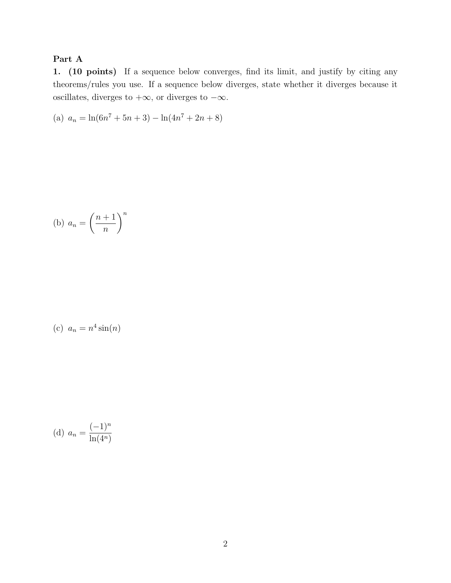## Part A

1. (10 points) If a sequence below converges, find its limit, and justify by citing any theorems/rules you use. If a sequence below diverges, state whether it diverges because it oscillates, diverges to  $+\infty$ , or diverges to  $-\infty$ .

(a) 
$$
a_n = \ln(6n^7 + 5n + 3) - \ln(4n^7 + 2n + 8)
$$

(b) 
$$
a_n = \left(\frac{n+1}{n}\right)^n
$$

(c) 
$$
a_n = n^4 \sin(n)
$$

(d) 
$$
a_n = \frac{(-1)^n}{\ln(4^n)}
$$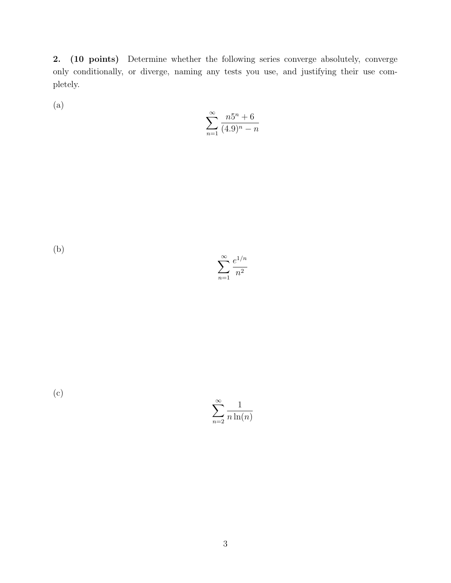2. (10 points) Determine whether the following series converge absolutely, converge only conditionally, or diverge, naming any tests you use, and justifying their use completely.

(a)

$$
\sum_{n=1}^{\infty} \frac{n5^n + 6}{(4.9)^n - n}
$$

(b)

 $\sum_{\infty}$ *n*=1 *e*<sup>1</sup>*/n n*2

(c)

 $\sum_{\infty}$ *n*=2 1 *n* ln(*n*)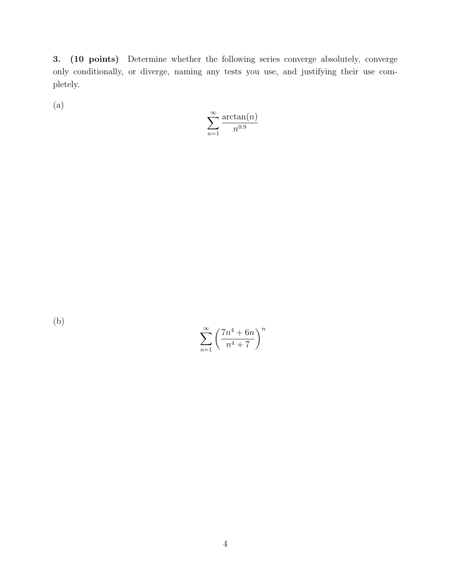3. (10 points) Determine whether the following series converge absolutely, converge only conditionally, or diverge, naming any tests you use, and justifying their use completely.

(a)

$$
\sum_{n=1}^{\infty} \frac{\arctan(n)}{n^{0.9}}
$$

(b)

$$
\sum_{n=1}^{\infty} \left(\frac{7n^4+6n}{n^4+7}\right)^n
$$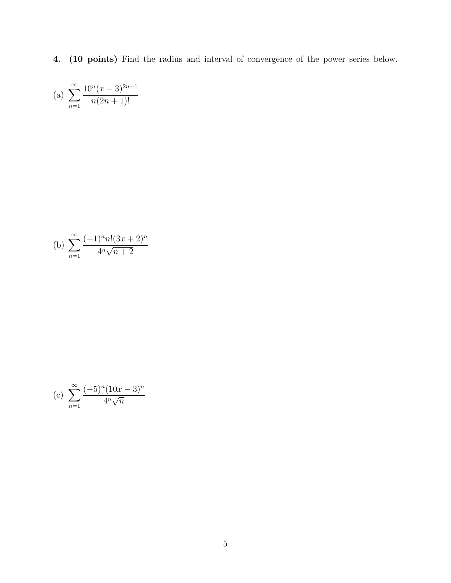4. (10 points) Find the radius and interval of convergence of the power series below.

(a) 
$$
\sum_{n=1}^{\infty} \frac{10^n (x-3)^{2n+1}}{n(2n+1)!}
$$

(b) 
$$
\sum_{n=1}^{\infty} \frac{(-1)^n n! (3x+2)^n}{4^n \sqrt{n+2}}
$$

(c) 
$$
\sum_{n=1}^{\infty} \frac{(-5)^n (10x - 3)^n}{4^n \sqrt{n}}
$$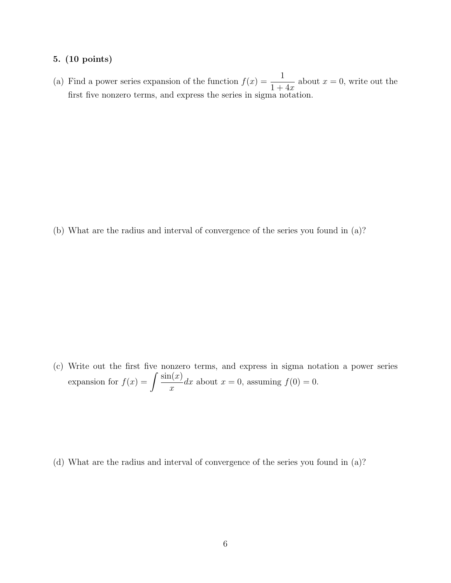## 5. (10 points)

(a) Find a power series expansion of the function  $f(x) = \frac{1}{1+x^2}$ 1+4*x* about  $x = 0$ , write out the first five nonzero terms, and express the series in sigma notation.

(b) What are the radius and interval of convergence of the series you found in (a)?

(c) Write out the first five nonzero terms, and express in sigma notation a power series expansion for  $f(x) = \int \frac{\sin(x)}{x}$ *x* dx about  $x = 0$ , assuming  $f(0) = 0$ .

(d) What are the radius and interval of convergence of the series you found in (a)?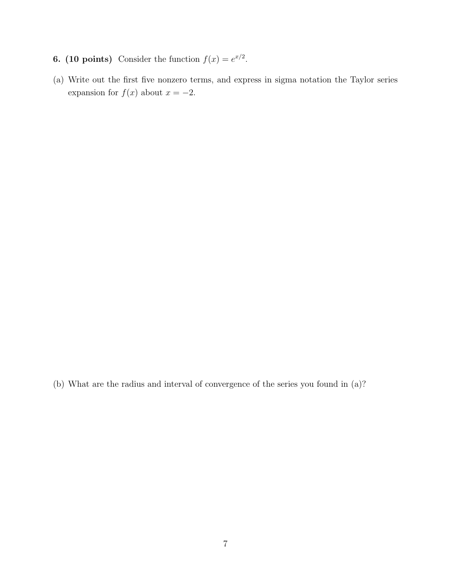- 6. (10 points) Consider the function  $f(x) = e^{x/2}$ .
- (a) Write out the first five nonzero terms, and express in sigma notation the Taylor series expansion for  $f(x)$  about  $x = -2$ .

(b) What are the radius and interval of convergence of the series you found in (a)?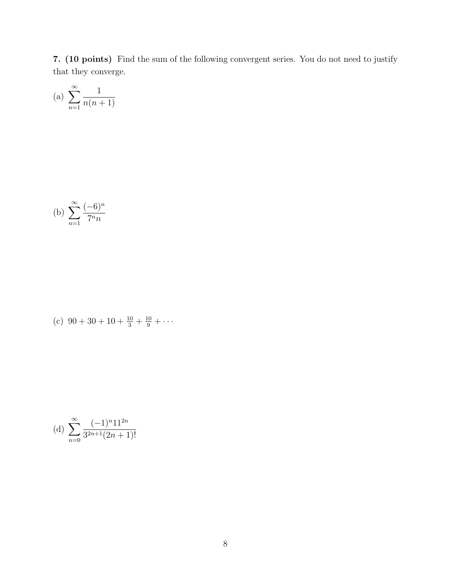7. (10 points) Find the sum of the following convergent series. You do not need to justify that they converge.

(a) 
$$
\sum_{n=1}^{\infty} \frac{1}{n(n+1)}
$$

(b) 
$$
\sum_{n=1}^{\infty} \frac{(-6)^n}{7^n n}
$$

(c) 
$$
90 + 30 + 10 + \frac{10}{3} + \frac{10}{9} + \cdots
$$

(d) 
$$
\sum_{n=0}^{\infty} \frac{(-1)^n 11^{2n}}{3^{2n+1}(2n+1)!}
$$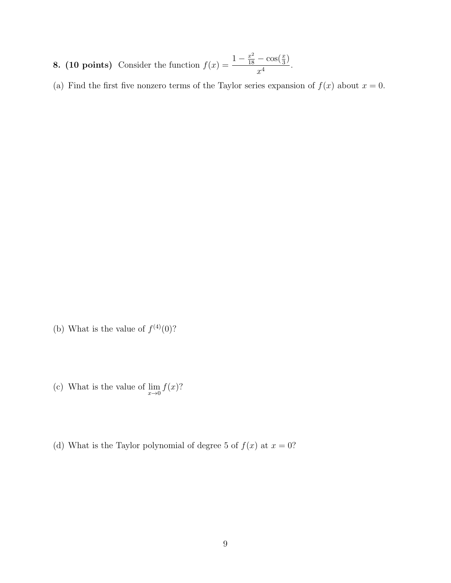- **8. (10 points)** Consider the function  $f(x) = \frac{1 \frac{x^2}{18} \cos(\frac{x}{3})}{4}$  $\frac{1}{x^4}$ .
- (a) Find the first five nonzero terms of the Taylor series expansion of  $f(x)$  about  $x = 0$ .

- (b) What is the value of  $f^{(4)}(0)$ ?
- (c) What is the value of  $\lim_{x\to 0} f(x)$ ?
- (d) What is the Taylor polynomial of degree 5 of  $f(x)$  at  $x = 0$ ?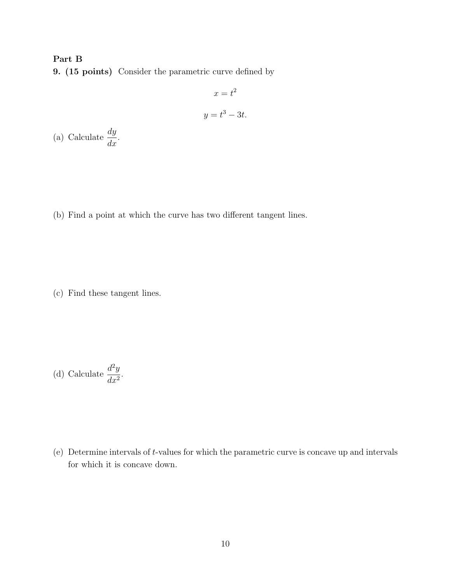## Part B

9. (15 points) Consider the parametric curve defined by

$$
x = t^2
$$

$$
y = t^3 - 3t.
$$

(a) Calculate  $\frac{dy}{dx}$  $\frac{dy}{dx}$ .

(b) Find a point at which the curve has two different tangent lines.

(c) Find these tangent lines.

(d) Calculate 
$$
\frac{d^2y}{dx^2}
$$
.

(e) Determine intervals of *t*-values for which the parametric curve is concave up and intervals for which it is concave down.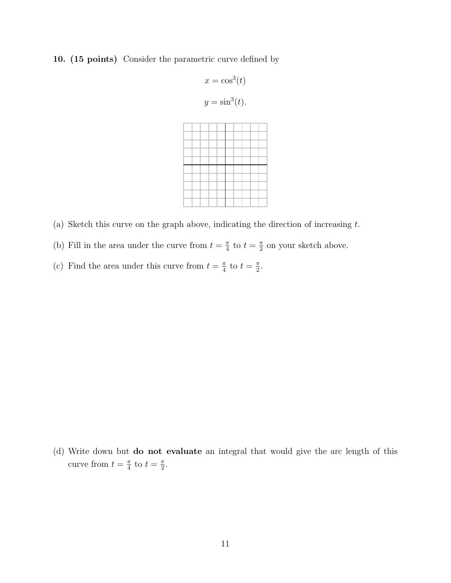## 10. (15 points) Consider the parametric curve defined by

$$
x = \cos^3(t)
$$
  

$$
y = \sin^3(t).
$$

- (a) Sketch this curve on the graph above, indicating the direction of increasing *t*.
- (b) Fill in the area under the curve from  $t = \frac{\pi}{4}$  to  $t = \frac{\pi}{2}$  on your sketch above.
- (c) Find the area under this curve from  $t = \frac{\pi}{4}$  to  $t = \frac{\pi}{2}$ .

(d) Write down but do not evaluate an integral that would give the arc length of this curve from  $t = \frac{\pi}{4}$  to  $t = \frac{\pi}{2}$ .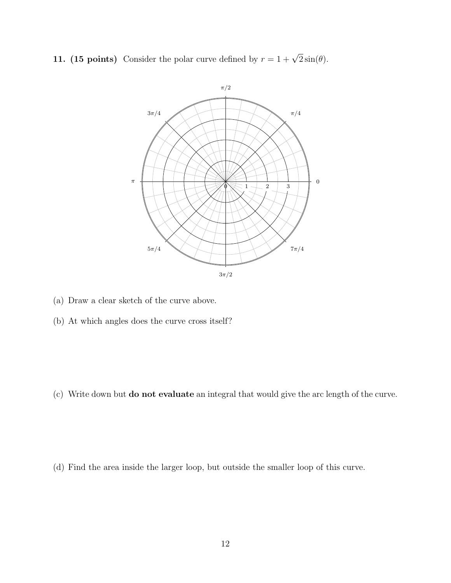11. (15 points) Consider the polar curve defined by  $r = 1 + \sqrt{2} \sin(\theta)$ .



- (a) Draw a clear sketch of the curve above.
- (b) At which angles does the curve cross itself?

(c) Write down but do not evaluate an integral that would give the arc length of the curve.

(d) Find the area inside the larger loop, but outside the smaller loop of this curve.